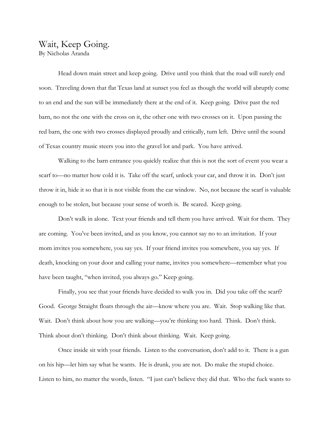# Wait, Keep Going. By Nicholas Aranda

Head down main street and keep going. Drive until you think that the road will surely end soon. Traveling down that flat Texas land at sunset you feel as though the world will abruptly come to an end and the sun will be immediately there at the end of it. Keep going. Drive past the red barn, no not the one with the cross on it, the other one with two crosses on it. Upon passing the red barn, the one with two crosses displayed proudly and critically, turn left. Drive until the sound of Texas country music steers you into the gravel lot and park. You have arrived.

Walking to the barn entrance you quickly realize that this is not the sort of event you wear a scarf to—no matter how cold it is. Take off the scarf, unlock your car, and throw it in. Don't just throw it in, hide it so that it is not visible from the car window. No, not because the scarf is valuable enough to be stolen, but because your sense of worth is. Be scared. Keep going.

Don't walk in alone. Text your friends and tell them you have arrived. Wait for them. They are coming. You've been invited, and as you know, you cannot say no to an invitation. If your mom invites you somewhere, you say yes. If your friend invites you somewhere, you say yes. If death, knocking on your door and calling your name, invites you somewhere—remember what you have been taught, "when invited, you always go." Keep going.

Finally, you see that your friends have decided to walk you in. Did you take off the scarf? Good. George Straight floats through the air—know where you are. Wait. Stop walking like that. Wait. Don't think about how you are walking—you're thinking too hard. Think. Don't think. Think about don't thinking. Don't think about thinking. Wait. Keep going.

Once inside sit with your friends. Listen to the conversation, don't add to it. There is a gun on his hip—let him say what he wants. He is drunk, you are not. Do make the stupid choice. Listen to him, no matter the words, listen. "I just can't believe they did that. Who the fuck wants to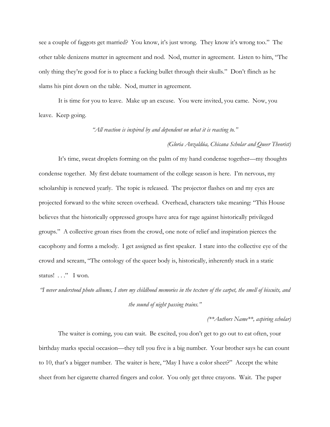see a couple of faggots get married? You know, it's just wrong. They know it's wrong too." The other table denizens mutter in agreement and nod. Nod, mutter in agreement. Listen to him, "The only thing they're good for is to place a fucking bullet through their skulls." Don't flinch as he slams his pint down on the table. Nod, mutter in agreement.

It is time for you to leave. Make up an excuse. You were invited, you came. Now, you leave. Keep going.

*"All reaction is inspired by and dependent on what it is reacting to."* 

#### *(Gloria Anzaldúa, Chicana Scholar and Queer Theorist)*

It's time, sweat droplets forming on the palm of my hand condense together—my thoughts condense together. My first debate tournament of the college season is here. I'm nervous, my scholarship is renewed yearly. The topic is released. The projector flashes on and my eyes are projected forward to the white screen overhead. Overhead, characters take meaning: "This House believes that the historically oppressed groups have area for rage against historically privileged groups." A collective groan rises from the crowd, one note of relief and inspiration pierces the cacophony and forms a melody. I get assigned as first speaker. I stare into the collective eye of the crowd and scream, "The ontology of the queer body is, historically, inherently stuck in a static status! . . ." I won.

*"I never understood photo albums, I store my childhood memories in the texture of the carpet, the smell of biscuits, and the sound of night passing trains."* 

*(\*\*Authors Name\*\*, aspiring scholar)*

The waiter is coming, you can wait. Be excited, you don't get to go out to eat often, your birthday marks special occasion—they tell you five is a big number. Your brother says he can count to 10, that's a bigger number. The waiter is here, "May I have a color sheet?" Accept the white sheet from her cigarette charred fingers and color. You only get three crayons. Wait. The paper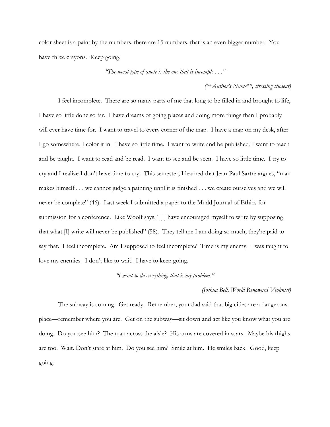color sheet is a paint by the numbers, there are 15 numbers, that is an even bigger number. You have three crayons. Keep going.

*"The worst type of quote is the one that is incomple . . ."*

*(\*\*Author's Name\*\*, stressing student)*

I feel incomplete. There are so many parts of me that long to be filled in and brought to life, I have so little done so far. I have dreams of going places and doing more things than I probably will ever have time for. I want to travel to every corner of the map. I have a map on my desk, after I go somewhere, I color it in. I have so little time. I want to write and be published, I want to teach and be taught. I want to read and be read. I want to see and be seen. I have so little time. I try to cry and I realize I don't have time to cry. This semester, I learned that Jean-Paul Sartre argues, "man makes himself . . . we cannot judge a painting until it is finished . . . we create ourselves and we will never be complete" (46). Last week I submitted a paper to the Mudd Journal of Ethics for submission for a conference. Like Woolf says, "[I] have encouraged myself to write by supposing that what  $\Pi$  write will never be published" (58). They tell me I am doing so much, they're paid to say that. I feel incomplete. Am I supposed to feel incomplete? Time is my enemy. I was taught to love my enemies. I don't like to wait. I have to keep going.

# *"I want to do everything, that is my problem."*

## *(Joshua Bell, World Renowned Violinist)*

The subway is coming. Get ready. Remember, your dad said that big cities are a dangerous place—remember where you are. Get on the subway—sit down and act like you know what you are doing. Do you see him? The man across the aisle? His arms are covered in scars. Maybe his thighs are too. Wait. Don't stare at him. Do you see him? Smile at him. He smiles back. Good, keep going.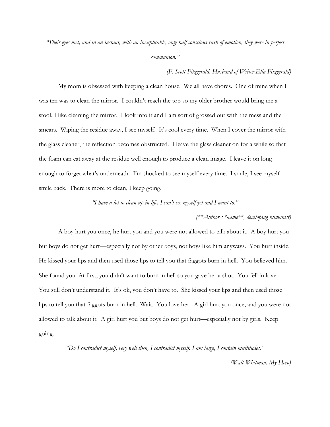*"Their eyes met, and in an instant, with an inexplicable, only half conscious rush of emotion, they were in perfect communion."* 

*(F. Scott Fitzgerald, Husband of Writer Ella Fitzgerald)*

My mom is obsessed with keeping a clean house. We all have chores. One of mine when I was ten was to clean the mirror. I couldn't reach the top so my older brother would bring me a stool. I like cleaning the mirror. I look into it and I am sort of grossed out with the mess and the smears. Wiping the residue away, I see myself. It's cool every time. When I cover the mirror with the glass cleaner, the reflection becomes obstructed. I leave the glass cleaner on for a while so that the foam can eat away at the residue well enough to produce a clean image. I leave it on long enough to forget what's underneath. I'm shocked to see myself every time. I smile, I see myself smile back. There is more to clean, I keep going.

*"I have a lot to clean up in life, I can't see myself yet and I want to."* 

## *(\*\*Author's Name\*\*, developing humanist)*

A boy hurt you once, he hurt you and you were not allowed to talk about it. A boy hurt you but boys do not get hurt—especially not by other boys, not boys like him anyways. You hurt inside. He kissed your lips and then used those lips to tell you that faggots burn in hell. You believed him. She found you. At first, you didn't want to burn in hell so you gave her a shot. You fell in love. You still don't understand it. It's ok, you don't have to. She kissed your lips and then used those lips to tell you that faggots burn in hell. Wait. You love her. A girl hurt you once, and you were not allowed to talk about it. A girl hurt you but boys do not get hurt—especially not by girls. Keep going.

*"Do I contradict myself, very well then, I contradict myself. I am large, I contain multitudes."* 

*(Walt Whitman, My Hero)*